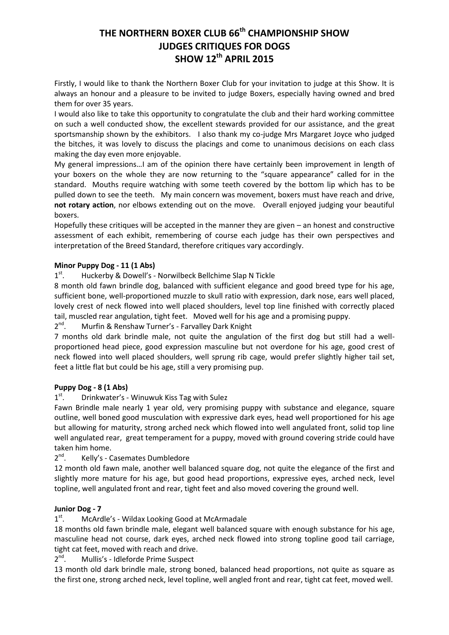# **THE NORTHERN BOXER CLUB 66th CHAMPIONSHIP SHOW JUDGES CRITIQUES FOR DOGS SHOW 12th APRIL 2015**

Firstly, I would like to thank the Northern Boxer Club for your invitation to judge at this Show. It is always an honour and a pleasure to be invited to judge Boxers, especially having owned and bred them for over 35 years.

I would also like to take this opportunity to congratulate the club and their hard working committee on such a well conducted show, the excellent stewards provided for our assistance, and the great sportsmanship shown by the exhibitors. I also thank my co-judge Mrs Margaret Joyce who judged the bitches, it was lovely to discuss the placings and come to unanimous decisions on each class making the day even more enjoyable.

My general impressions…I am of the opinion there have certainly been improvement in length of your boxers on the whole they are now returning to the "square appearance" called for in the standard. Mouths require watching with some teeth covered by the bottom lip which has to be pulled down to see the teeth. My main concern was movement, boxers must have reach and drive, **not rotary action**, nor elbows extending out on the move. Overall enjoyed judging your beautiful boxers.

Hopefully these critiques will be accepted in the manner they are given – an honest and constructive assessment of each exhibit, remembering of course each judge has their own perspectives and interpretation of the Breed Standard, therefore critiques vary accordingly.

### **Minor Puppy Dog - 11 (1 Abs)**

 $1<sup>st</sup>$ . Huckerby & Dowell's - Norwilbeck Bellchime Slap N Tickle

8 month old fawn brindle dog, balanced with sufficient elegance and good breed type for his age, sufficient bone, well-proportioned muzzle to skull ratio with expression, dark nose, ears well placed, lovely crest of neck flowed into well placed shoulders, level top line finished with correctly placed tail, muscled rear angulation, tight feet. Moved well for his age and a promising puppy.

 $2<sup>nd</sup>$ . Murfin & Renshaw Turner's - Farvalley Dark Knight

7 months old dark brindle male, not quite the angulation of the first dog but still had a wellproportioned head piece, good expression masculine but not overdone for his age, good crest of neck flowed into well placed shoulders, well sprung rib cage, would prefer slightly higher tail set, feet a little flat but could be his age, still a very promising pup.

### **Puppy Dog - 8 (1 Abs)**

 $1<sup>st</sup>$ . Drinkwater's - Winuwuk Kiss Tag with Sulez

Fawn Brindle male nearly 1 year old, very promising puppy with substance and elegance, square outline, well boned good musculation with expressive dark eyes, head well proportioned for his age but allowing for maturity, strong arched neck which flowed into well angulated front, solid top line well angulated rear, great temperament for a puppy, moved with ground covering stride could have taken him home.

 $2<sup>nd</sup>$ . Kelly's - Casemates Dumbledore

12 month old fawn male, another well balanced square dog, not quite the elegance of the first and slightly more mature for his age, but good head proportions, expressive eyes, arched neck, level topline, well angulated front and rear, tight feet and also moved covering the ground well.

### **Junior Dog - 7**

 $1<sup>st</sup>$ . McArdle's - Wildax Looking Good at McArmadale

18 months old fawn brindle male, elegant well balanced square with enough substance for his age, masculine head not course, dark eyes, arched neck flowed into strong topline good tail carriage, tight cat feet, moved with reach and drive.

 $2<sup>nd</sup>$ . Mullis's - Idleforde Prime Suspect

13 month old dark brindle male, strong boned, balanced head proportions, not quite as square as the first one, strong arched neck, level topline, well angled front and rear, tight cat feet, moved well.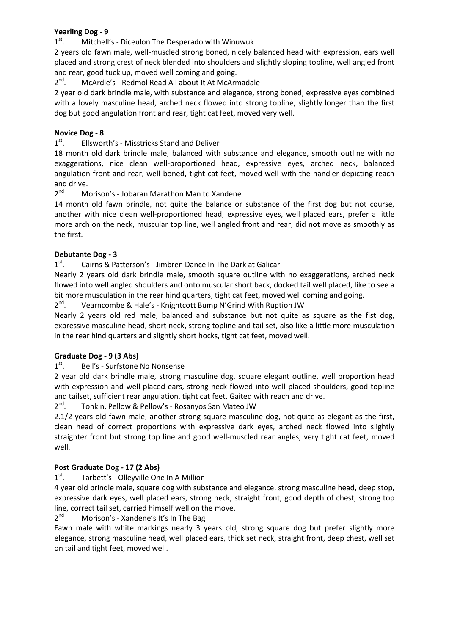### **Yearling Dog - 9**

 $1<sup>st</sup>$ . Mitchell's - Diceulon The Desperado with Winuwuk

2 years old fawn male, well-muscled strong boned, nicely balanced head with expression, ears well placed and strong crest of neck blended into shoulders and slightly sloping topline, well angled front and rear, good tuck up, moved well coming and going.

 $2<sup>nd</sup>$ . McArdle's - Redmol Read All about It At McArmadale

2 year old dark brindle male, with substance and elegance, strong boned, expressive eyes combined with a lovely masculine head, arched neck flowed into strong topline, slightly longer than the first dog but good angulation front and rear, tight cat feet, moved very well.

# **Novice Dog - 8**

 $1<sup>st</sup>$ . Ellsworth's - Misstricks Stand and Deliver

18 month old dark brindle male, balanced with substance and elegance, smooth outline with no exaggerations, nice clean well-proportioned head, expressive eyes, arched neck, balanced angulation front and rear, well boned, tight cat feet, moved well with the handler depicting reach and drive.

 $2<sup>nd</sup>$ Morison's - Jobaran Marathon Man to Xandene

14 month old fawn brindle, not quite the balance or substance of the first dog but not course, another with nice clean well-proportioned head, expressive eyes, well placed ears, prefer a little more arch on the neck, muscular top line, well angled front and rear, did not move as smoothly as the first.

### **Debutante Dog - 3**

 $1<sup>st</sup>$ . Cairns & Patterson's - Jimbren Dance In The Dark at Galicar

Nearly 2 years old dark brindle male, smooth square outline with no exaggerations, arched neck flowed into well angled shoulders and onto muscular short back, docked tail well placed, like to see a bit more musculation in the rear hind quarters, tight cat feet, moved well coming and going.

 $2^{nd}$ . Vearncombe & Hale's - Knightcott Bump N'Grind With Ruption JW

Nearly 2 years old red male, balanced and substance but not quite as square as the fist dog, expressive masculine head, short neck, strong topline and tail set, also like a little more musculation in the rear hind quarters and slightly short hocks, tight cat feet, moved well.

# **Graduate Dog - 9 (3 Abs)**

 $1<sup>st</sup>$ . Bell's - Surfstone No Nonsense

2 year old dark brindle male, strong masculine dog, square elegant outline, well proportion head with expression and well placed ears, strong neck flowed into well placed shoulders, good topline and tailset, sufficient rear angulation, tight cat feet. Gaited with reach and drive.

 $2^{nd}$ . Tonkin, Pellow & Pellow's - Rosanyos San Mateo JW

2.1/2 years old fawn male, another strong square masculine dog, not quite as elegant as the first, clean head of correct proportions with expressive dark eyes, arched neck flowed into slightly straighter front but strong top line and good well-muscled rear angles, very tight cat feet, moved well.

### **Post Graduate Dog - 17 (2 Abs)**

 $1<sup>st</sup>$ . Tarbett's - Olleyville One In A Million

4 year old brindle male, square dog with substance and elegance, strong masculine head, deep stop, expressive dark eyes, well placed ears, strong neck, straight front, good depth of chest, strong top line, correct tail set, carried himself well on the move.

 $2<sup>nd</sup>$ Morison's - Xandene's It's In The Bag

Fawn male with white markings nearly 3 years old, strong square dog but prefer slightly more elegance, strong masculine head, well placed ears, thick set neck, straight front, deep chest, well set on tail and tight feet, moved well.